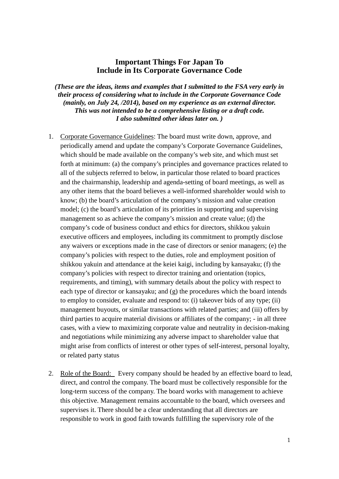## **Important Things For Japan To Include in Its Corporate Governance Code**

*(These are the ideas, items and examples that I submitted to the FSA very early in their process of considering what to include in the Corporate Governance Code (mainly, on July 24, /2014), based on my experience as an external director. This was not intended to be a comprehensive listing or a draft code. I also submitted other ideas later on. )* 

- 1. Corporate Governance Guidelines: The board must write down, approve, and periodically amend and update the company's Corporate Governance Guidelines, which should be made available on the company's web site, and which must set forth at minimum: (a) the company's principles and governance practices related to all of the subjects referred to below, in particular those related to board practices and the chairmanship, leadership and agenda-setting of board meetings, as well as any other items that the board believes a well-informed shareholder would wish to know; (b) the board's articulation of the company's mission and value creation model; (c) the board's articulation of its priorities in supporting and supervising management so as achieve the company's mission and create value; (d) the company's code of business conduct and ethics for directors, shikkou yakuin executive officers and employees, including its commitment to promptly disclose any waivers or exceptions made in the case of directors or senior managers; (e) the company's policies with respect to the duties, role and employment position of shikkou yakuin and attendance at the keiei kaigi, including by kansayaku; (f) the company's policies with respect to director training and orientation (topics, requirements, and timing), with summary details about the policy with respect to each type of director or kansayaku; and (g) the procedures which the board intends to employ to consider, evaluate and respond to: (i) takeover bids of any type; (ii) management buyouts, or similar transactions with related parties; and (iii) offers by third parties to acquire material divisions or affiliates of the company; - in all three cases, with a view to maximizing corporate value and neutrality in decision-making and negotiations while minimizing any adverse impact to shareholder value that might arise from conflicts of interest or other types of self-interest, personal loyalty, or related party status
- 2. Role of the Board: Every company should be headed by an effective board to lead, direct, and control the company. The board must be collectively responsible for the long-term success of the company. The board works with management to achieve this objective. Management remains accountable to the board, which oversees and supervises it. There should be a clear understanding that all directors are responsible to work in good faith towards fulfilling the supervisory role of the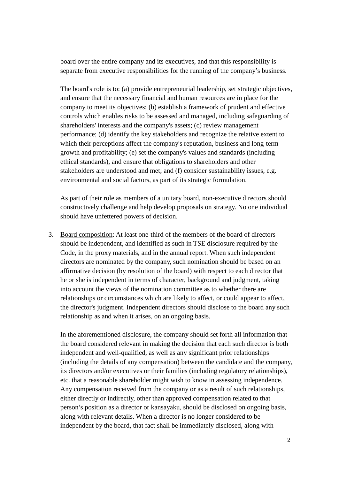board over the entire company and its executives, and that this responsibility is separate from executive responsibilities for the running of the company's business.

The board's role is to: (a) provide entrepreneurial leadership, set strategic objectives, and ensure that the necessary financial and human resources are in place for the company to meet its objectives; (b) establish a framework of prudent and effective controls which enables risks to be assessed and managed, including safeguarding of shareholders' interests and the company's assets; (c) review management performance; (d) identify the key stakeholders and recognize the relative extent to which their perceptions affect the company's reputation, business and long-term growth and profitability; (e) set the company's values and standards (including ethical standards), and ensure that obligations to shareholders and other stakeholders are understood and met; and (f) consider sustainability issues, e.g. environmental and social factors, as part of its strategic formulation.

As part of their role as members of a unitary board, non-executive directors should constructively challenge and help develop proposals on strategy. No one individual should have unfettered powers of decision.

3. Board composition: At least one-third of the members of the board of directors should be independent, and identified as such in TSE disclosure required by the Code, in the proxy materials, and in the annual report. When such independent directors are nominated by the company, such nomination should be based on an affirmative decision (by resolution of the board) with respect to each director that he or she is independent in terms of character, background and judgment, taking into account the views of the nomination committee as to whether there are relationships or circumstances which are likely to affect, or could appear to affect, the director's judgment. Independent directors should disclose to the board any such relationship as and when it arises, on an ongoing basis.

In the aforementioned disclosure, the company should set forth all information that the board considered relevant in making the decision that each such director is both independent and well-qualified, as well as any significant prior relationships (including the details of any compensation) between the candidate and the company, its directors and/or executives or their families (including regulatory relationships), etc. that a reasonable shareholder might wish to know in assessing independence. Any compensation received from the company or as a result of such relationships, either directly or indirectly, other than approved compensation related to that person's position as a director or kansayaku, should be disclosed on ongoing basis, along with relevant details. When a director is no longer considered to be independent by the board, that fact shall be immediately disclosed, along with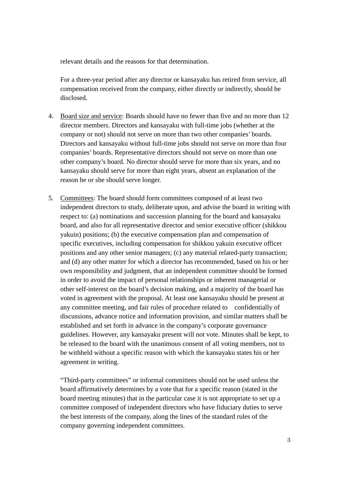relevant details and the reasons for that determination.

For a three-year period after any director or kansayaku has retired from service, all compensation received from the company, either directly or indirectly, should be disclosed.

- 4. Board size and service: Boards should have no fewer than five and no more than 12 director members. Directors and kansayaku with full-time jobs (whether at the company or not) should not serve on more than two other companies' boards. Directors and kansayaku without full-time jobs should not serve on more than four companies' boards. Representative directors should not serve on more than one other company's board. No director should serve for more than six years, and no kansayaku should serve for more than eight years, absent an explanation of the reason he or she should serve longer.
- 5. Committees: The board should form committees composed of at least two independent directors to study, deliberate upon, and advise the board in writing with respect to: (a) nominations and succession planning for the board and kansayaku board, and also for all representative director and senior executive officer (shikkou yakuin) positions; (b) the executive compensation plan and compensation of specific executives, including compensation for shikkou yakuin executive officer positions and any other senior managers; (c) any material related-party transaction; and (d) any other matter for which a director has recommended, based on his or her own responsibility and judgment, that an independent committee should be formed in order to avoid the impact of personal relationships or inherent managerial or other self-interest on the board's decision making, and a majority of the board has voted in agreement with the proposal. At least one kansayaku should be present at any committee meeting, and fair rules of procedure related to confidentially of discussions, advance notice and information provision, and similar matters shall be established and set forth in advance in the company's corporate governance guidelines. However, any kansayaku present will not vote. Minutes shall be kept, to be released to the board with the unanimous consent of all voting members, not to be withheld without a specific reason with which the kansayaku states his or her agreement in writing.

"Third-party committees" or informal committees should not be used unless the board affirmatively determines by a vote that for a specific reason (stated in the board meeting minutes) that in the particular case it is not appropriate to set up a committee composed of independent directors who have fiduciary duties to serve the best interests of the company, along the lines of the standard rules of the company governing independent committees.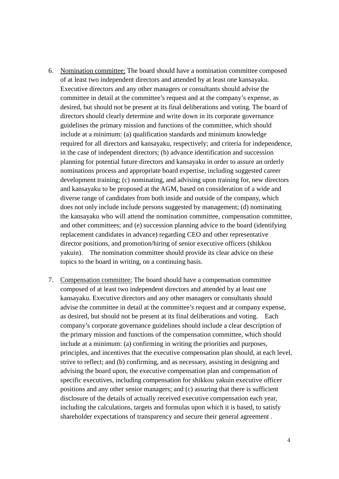- 6. Nomination committee: The board should have a nomination committee composed of at least two independent directors and attended by at least one kansayaku. Executive directors and any other managers or consultants should advise the committee in detail at the committee's request and at the company's expense, as desired, but should not be present at its final deliberations and voting. The board of directors should clearly determine and write down in its corporate governance guidelines the primary mission and functions of the committee, which should include at a minimum: (a) qualification standards and minimum knowledge required for all directors and kansayaku, respectively; and criteria for independence, in the case of independent directors; (b) advance identification and succession planning for potential future directors and kansayaku in order to assure an orderly nominations process and appropriate board expertise, including suggested career development training; (c) nominating, and advising upon training for, new directors and kansayaku to be proposed at the AGM, based on consideration of a wide and diverse range of candidates from both inside and outside of the company, which does not only include include persons suggested by management; (d) nominating the kansayaku who will attend the nomination committee, compensation committee, and other committees; and (e) succession planning advice to the board (identifying replacement candidates in advance) regarding CEO and other representative director positions, and promotion/hiring of senior executive officers (shikkou yakuin). The nomination committee should provide its clear advice on these topics to the board in writing, on a continuing basis.
- 7. Compensation committee: The board should have a compensation committee composed of at least two independent directors and attended by at least one kansayaku. Executive directors and any other managers or consultants should advise the committee in detail at the committee's request and at company expense, as desired, but should not be present at its final deliberations and voting. Each company's corporate governance guidelines should include a clear description of the primary mission and functions of the compensation committee, which should include at a minimum: (a) confirming in writing the priorities and purposes, principles, and incentives that the executive compensation plan should, at each level, strive to reflect; and (b) confirming, and as necessary, assisting in designing and advising the board upon, the executive compensation plan and compensation of specific executives, including compensation for shikkou yakuin executive officer positions and any other senior managers; and (c) assuring that there is sufficient disclosure of the details of actually received executive compensation each year, including the calculations, targets and formulas upon which it is based, to satisfy shareholder expectations of transparency and secure their general agreement .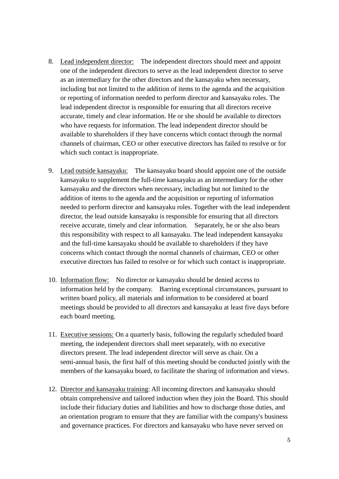- 8. Lead independent director: The independent directors should meet and appoint one of the independent directors to serve as the lead independent director to serve as an intermediary for the other directors and the kansayaku when necessary, including but not limited to the addition of items to the agenda and the acquisition or reporting of information needed to perform director and kansayaku roles. The lead independent director is responsible for ensuring that all directors receive accurate, timely and clear information. He or she should be available to directors who have requests for information. The lead independent director should be available to shareholders if they have concerns which contact through the normal channels of chairman, CEO or other executive directors has failed to resolve or for which such contact is inappropriate.
- 9. Lead outside kansayaku: The kansayaku board should appoint one of the outside kansayaku to supplement the full-time kansayaku as an intermediary for the other kansayaku and the directors when necessary, including but not limited to the addition of items to the agenda and the acquisition or reporting of information needed to perform director and kansayaku roles. Together with the lead independent director, the lead outside kansayaku is responsible for ensuring that all directors receive accurate, timely and clear information. Separately, he or she also bears this responsibility with respect to all kansayaku. The lead independent kansayaku and the full-time kansayaku should be available to shareholders if they have concerns which contact through the normal channels of chairman, CEO or other executive directors has failed to resolve or for which such contact is inappropriate.
- 10. Information flow: No director or kansayaku should be denied access to information held by the company. Barring exceptional circumstances, pursuant to written board policy, all materials and information to be considered at board meetings should be provided to all directors and kansayaku at least five days before each board meeting.
- 11. Executive sessions: On a quarterly basis, following the regularly scheduled board meeting, the independent directors shall meet separately, with no executive directors present. The lead independent director will serve as chair. On a semi-annual basis, the first half of this meeting should be conducted jointly with the members of the kansayaku board, to facilitate the sharing of information and views.
- 12. Director and kansayaku training: All incoming directors and kansayaku should obtain comprehensive and tailored induction when they join the Board. This should include their fiduciary duties and liabilities and how to discharge those duties, and an orientation program to ensure that they are familiar with the company's business and governance practices. For directors and kansayaku who have never served on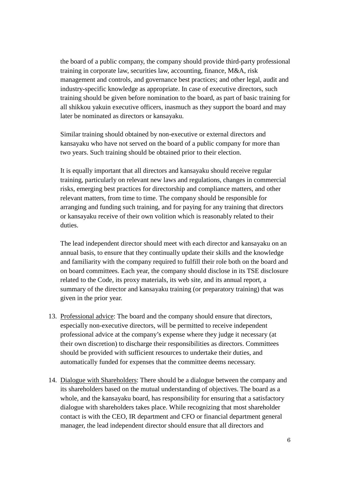the board of a public company, the company should provide third-party professional training in corporate law, securities law, accounting, finance, M&A, risk management and controls, and governance best practices; and other legal, audit and industry-specific knowledge as appropriate. In case of executive directors, such training should be given before nomination to the board, as part of basic training for all shikkou yakuin executive officers, inasmuch as they support the board and may later be nominated as directors or kansayaku.

Similar training should obtained by non-executive or external directors and kansayaku who have not served on the board of a public company for more than two years. Such training should be obtained prior to their election.

It is equally important that all directors and kansayaku should receive regular training, particularly on relevant new laws and regulations, changes in commercial risks, emerging best practices for directorship and compliance matters, and other relevant matters, from time to time. The company should be responsible for arranging and funding such training, and for paying for any training that directors or kansayaku receive of their own volition which is reasonably related to their duties.

The lead independent director should meet with each director and kansayaku on an annual basis, to ensure that they continually update their skills and the knowledge and familiarity with the company required to fulfill their role both on the board and on board committees. Each year, the company should disclose in its TSE disclosure related to the Code, its proxy materials, its web site, and its annual report, a summary of the director and kansayaku training (or preparatory training) that was given in the prior year.

- 13. Professional advice: The board and the company should ensure that directors, especially non-executive directors, will be permitted to receive independent professional advice at the company's expense where they judge it necessary (at their own discretion) to discharge their responsibilities as directors. Committees should be provided with sufficient resources to undertake their duties, and automatically funded for expenses that the committee deems necessary.
- 14. Dialogue with Shareholders: There should be a dialogue between the company and its shareholders based on the mutual understanding of objectives. The board as a whole, and the kansayaku board, has responsibility for ensuring that a satisfactory dialogue with shareholders takes place. While recognizing that most shareholder contact is with the CEO, IR department and CFO or financial department general manager, the lead independent director should ensure that all directors and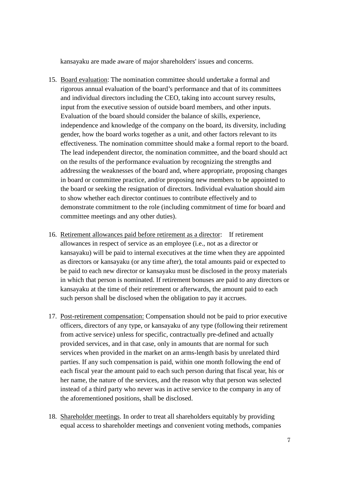kansayaku are made aware of major shareholders' issues and concerns.

- 15. Board evaluation: The nomination committee should undertake a formal and rigorous annual evaluation of the board's performance and that of its committees and individual directors including the CEO, taking into account survey results, input from the executive session of outside board members, and other inputs. Evaluation of the board should consider the balance of skills, experience, independence and knowledge of the company on the board, its diversity, including gender, how the board works together as a unit, and other factors relevant to its effectiveness. The nomination committee should make a formal report to the board. The lead independent director, the nomination committee, and the board should act on the results of the performance evaluation by recognizing the strengths and addressing the weaknesses of the board and, where appropriate, proposing changes in board or committee practice, and/or proposing new members to be appointed to the board or seeking the resignation of directors. Individual evaluation should aim to show whether each director continues to contribute effectively and to demonstrate commitment to the role (including commitment of time for board and committee meetings and any other duties).
- 16. Retirement allowances paid before retirement as a director: If retirement allowances in respect of service as an employee (i.e., not as a director or kansayaku) will be paid to internal executives at the time when they are appointed as directors or kansayaku (or any time after), the total amounts paid or expected to be paid to each new director or kansayaku must be disclosed in the proxy materials in which that person is nominated. If retirement bonuses are paid to any directors or kansayaku at the time of their retirement or afterwards, the amount paid to each such person shall be disclosed when the obligation to pay it accrues.
- 17. Post-retirement compensation: Compensation should not be paid to prior executive officers, directors of any type, or kansayaku of any type (following their retirement from active service) unless for specific, contractually pre-defined and actually provided services, and in that case, only in amounts that are normal for such services when provided in the market on an arms-length basis by unrelated third parties. If any such compensation is paid, within one month following the end of each fiscal year the amount paid to each such person during that fiscal year, his or her name, the nature of the services, and the reason why that person was selected instead of a third party who never was in active service to the company in any of the aforementioned positions, shall be disclosed.
- 18. Shareholder meetings. In order to treat all shareholders equitably by providing equal access to shareholder meetings and convenient voting methods, companies